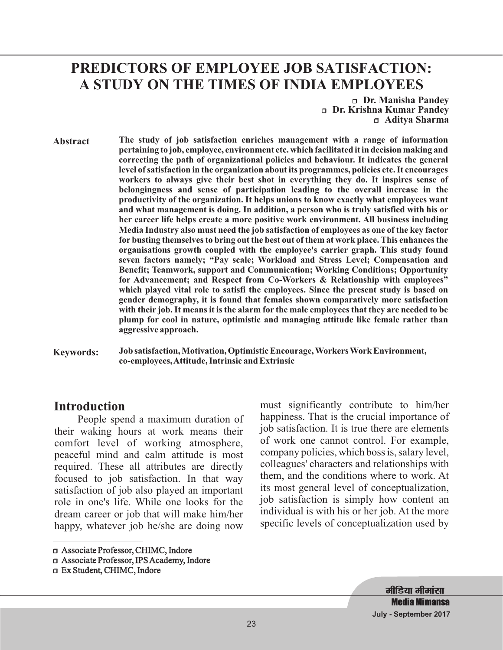# **PREDICTORS OF EMPLOYEE JOB SATISFACTION: A STUDY ON THE TIMES OF INDIA EMPLOYEES**

r **Dr. Manisha Pandey** r **Dr. Krishna Kumar Pandey** r **Aditya Sharma**

**Abstract The study of job satisfaction enriches management with a range of information pertaining to job, employee, environment etc. which facilitated it in decision making and correcting the path of organizational policies and behaviour. It indicates the general level of satisfaction in the organization about its programmes, policies etc. It encourages workers to always give their best shot in everything they do. It inspires sense of belongingness and sense of participation leading to the overall increase in the productivity of the organization. It helps unions to know exactly what employees want and what management is doing. In addition, a person who is truly satisfied with his or her career life helps create a more positive work environment. All business including Media Industry also must need the job satisfaction of employees as one of the key factor for busting themselves to bring out the best out of them at work place. This enhances the organisations growth coupled with the employee's carrier graph. This study found seven factors namely; "Pay scale; Workload and Stress Level; Compensation and Benefit; Teamwork, support and Communication; Working Conditions; Opportunity for Advancement; and Respect from Co-Workers & Relationship with employees" which played vital role to satisfi the employees. Since the present study is based on gender demography, it is found that females shown comparatively more satisfaction with their job. It means it is the alarm for the male employees that they are needed to be plump for cool in nature, optimistic and managing attitude like female rather than aggressive approach.**

**Keywords: Job satisfaction, Motivation, Optimistic Encourage, Workers Work Environment, co-employees,Attitude, Intrinsic and Extrinsic**

#### **Introduction**

People spend a maximum duration of their waking hours at work means their comfort level of working atmosphere, peaceful mind and calm attitude is most required. These all attributes are directly focused to job satisfaction. In that way satisfaction of job also played an important role in one's life. While one looks for the dream career or job that will make him/her happy, whatever job he/she are doing now must significantly contribute to him/her happiness. That is the crucial importance of job satisfaction. It is true there are elements of work one cannot control. For example, company policies, which boss is, salary level, colleagues' characters and relationships with them, and the conditions where to work. At its most general level of conceptualization, job satisfaction is simply how content an individual is with his or her job. At the more specific levels of conceptualization used by

**मीडिया मीमांसा Media Mimansa July - September 2017**

<sup>□</sup> Associate Professor, CHIMC, Indore

r Associate Professor, IPSAcademy, Indore

<sup>□</sup> Ex Student, CHIMC, Indore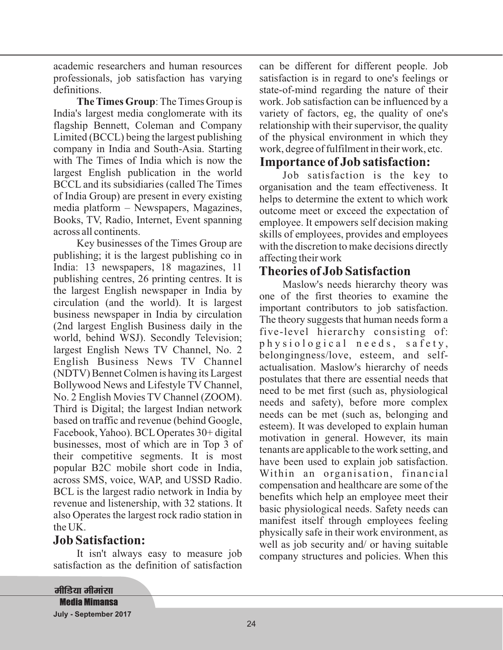academic researchers and human resources professionals, job satisfaction has varying definitions.

The Times Group: The Times Group is India's largest media conglomerate with its flagship Bennett, Coleman and Company Limited (BCCL) being the largest publishing company in India and South-Asia. Starting with The Times of India which is now the largest English publication in the world BCCL and its subsidiaries (called The Times of India Group) are present in every existing media platform – Newspapers, Magazines, Books, TV, Radio, Internet, Event spanning across all continents.

Key businesses of the Times Group are publishing; it is the largest publishing co in India: 13 newspapers, 18 magazines, 11 publishing centres, 26 printing centres. It is the largest English newspaper in India by circulation (and the world). It is largest business newspaper in India by circulation (2nd largest English Business daily in the world, behind WSJ). Secondly Television; largest English News TV Channel, No. 2 English Business News TV Channel (NDTV) Bennet Colmen is having its Largest Bollywood News and Lifestyle TV Channel, No. 2 English Movies TV Channel (ZOOM). Third is Digital; the largest Indian network based on traffic and revenue (behind Google, Facebook, Yahoo). BCL Operates 30+ digital businesses, most of which are in Top 3 of their competitive segments. It is most popular B2C mobile short code in India, across SMS, voice, WAP, and USSD Radio. BCL is the largest radio network in India by revenue and listenership, with 32 stations. It also Operates the largest rock radio station in the UK.

#### **Job Satisfaction:**

It isn't always easy to measure job satisfaction as the definition of satisfaction

can be different for different people. Job satisfaction is in regard to one's feelings or state-of-mind regarding the nature of their work. Job satisfaction can be influenced by a variety of factors, eg, the quality of one's relationship with their supervisor, the quality of the physical environment in which they work, degree of fulfilment in their work, etc.

### **Importance of Job satisfaction:**

Job satisfaction is the key to organisation and the team effectiveness. It helps to determine the extent to which work outcome meet or exceed the expectation of employee. It empowers self decision making skills of employees, provides and employees with the discretion to make decisions directly affecting their work

#### **Theories of Job Satisfaction**

Maslow's needs hierarchy theory was one of the first theories to examine the important contributors to job satisfaction. The theory suggests that human needs form a five-level hierarchy consisting of: p h y s i o l o g i c a l n e e d s , s a f e t y , belongingness/love, esteem, and selfactualisation. Maslow's hierarchy of needs postulates that there are essential needs that need to be met first (such as, physiological needs and safety), before more complex needs can be met (such as, belonging and esteem). It was developed to explain human motivation in general. However, its main tenants are applicable to the work setting, and have been used to explain job satisfaction. Within an organisation, financial compensation and healthcare are some of the benefits which help an employee meet their basic physiological needs. Safety needs can manifest itself through employees feeling physically safe in their work environment, as well as job security and/ or having suitable company structures and policies. When this

<u>मीडिया मीमांसा</u> **Media Mimansa July - September 2017**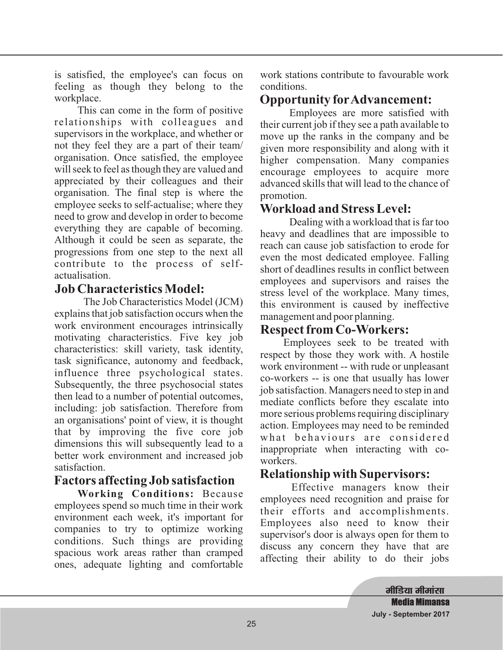is satisfied, the employee's can focus on feeling as though they belong to the workplace.

This can come in the form of positive relationships with colleagues and supervisors in the workplace, and whether or not they feel they are a part of their team/ organisation. Once satisfied, the employee will seek to feel as though they are valued and appreciated by their colleagues and their organisation. The final step is where the employee seeks to self-actualise; where they need to grow and develop in order to become everything they are capable of becoming. Although it could be seen as separate, the progressions from one step to the next all contribute to the process of selfactualisation.

#### **Job Characteristics Model:**

The Job Characteristics Model (JCM) explains that job satisfaction occurs when the work environment encourages intrinsically motivating characteristics. Five key job characteristics: skill variety, task identity, task significance, autonomy and feedback, influence three psychological states. Subsequently, the three psychosocial states then lead to a number of potential outcomes, including: job satisfaction. Therefore from an organisations' point of view, it is thought that by improving the five core job dimensions this will subsequently lead to a better work environment and increased job satisfaction.

# **Factors affecting Job satisfaction**

**Working Conditions: Because** employees spend so much time in their work environment each week, it's important for companies to try to optimize working conditions. Such things are providing spacious work areas rather than cramped ones, adequate lighting and comfortable

work stations contribute to favourable work conditions.

## **Opportunity forAdvancement:**

Employees are more satisfied with their current job if they see a path available to move up the ranks in the company and be given more responsibility and along with it higher compensation. Many companies encourage employees to acquire more advanced skills that will lead to the chance of promotion.

# **Workload and Stress Level:**

Dealing with a workload that is far too heavy and deadlines that are impossible to reach can cause job satisfaction to erode for even the most dedicated employee. Falling short of deadlines results in conflict between employees and supervisors and raises the stress level of the workplace. Many times, this environment is caused by ineffective management and poor planning.

## **Respect from Co-Workers:**

Employees seek to be treated with respect by those they work with. A hostile work environment -- with rude or unpleasant co-workers -- is one that usually has lower job satisfaction. Managers need to step in and mediate conflicts before they escalate into more serious problems requiring disciplinary action. Employees may need to be reminded what behaviours are considered inappropriate when interacting with coworkers.

# **Relationship with Supervisors:**

Effective managers know their employees need recognition and praise for their efforts and accomplishments. Employees also need to know their supervisor's door is always open for them to discuss any concern they have that are affecting their ability to do their jobs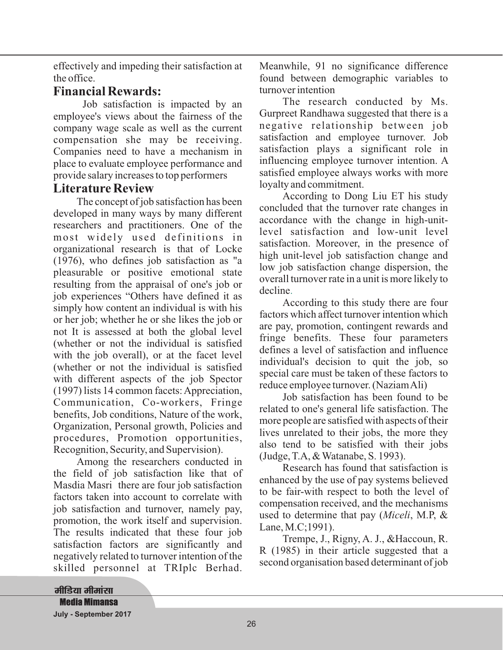effectively and impeding their satisfaction at the office.

## **Financial Rewards:**

Job satisfaction is impacted by an employee's views about the fairness of the company wage scale as well as the current compensation she may be receiving. Companies need to have a mechanism in place to evaluate employee performance and provide salary increases to top performers

#### **Literature Review**

The concept of job satisfaction has been developed in many ways by many different researchers and practitioners. One of the most widely used definitions in organizational research is that of Locke (1976), who defines job satisfaction as "a pleasurable or positive emotional state resulting from the appraisal of one's job or job experiences "Others have defined it as simply how content an individual is with his or her job; whether he or she likes the job or not It is assessed at both the global level (whether or not the individual is satisfied with the job overall), or at the facet level (whether or not the individual is satisfied with different aspects of the job Spector (1997) lists 14 common facets:Appreciation, Communication, Co-workers, Fringe benefits, Job conditions, Nature of the work, Organization, Personal growth, Policies and procedures, Promotion opportunities, Recognition, Security, and Supervision).

Among the researchers conducted in the field of job satisfaction like that of Masdia Masri there are four job satisfaction factors taken into account to correlate with job satisfaction and turnover, namely pay, promotion, the work itself and supervision. The results indicated that these four job satisfaction factors are significantly and negatively related to turnover intention of the skilled personnel at TRIplc Berhad.

Meanwhile, 91 no significance difference found between demographic variables to turnover intention

The research conducted by Ms. Gurpreet Randhawa suggested that there is a negative relationship between job satisfaction and employee turnover. Job satisfaction plays a significant role in influencing employee turnover intention. A satisfied employee always works with more loyalty and commitment.

According to Dong Liu ET his study concluded that the turnover rate changes in accordance with the change in high-unitlevel satisfaction and low-unit level satisfaction. Moreover, in the presence of high unit-level job satisfaction change and low job satisfaction change dispersion, the overall turnover rate in a unit is more likely to decline .

According to this study there are four factors which affect turnover intention which are pay, promotion, contingent rewards and fringe benefits. These four parameters defines a level of satisfaction and influence individual's decision to quit the job, so special care must be taken of these factors to reduce employee turnover. (NaziamAli)

Job satisfaction has been found to be related to one's general life satisfaction. The more people are satisfied with aspects of their lives unrelated to their jobs, the more they also tend to be satisfied with their jobs (Judge, T.A, & Watanabe, S. 1993).

Research has found that satisfaction is enhanced by the use of pay systems believed to be fair-with respect to both the level of compensation received, and the mechanisms used to determine that pay (Miceli, M.P, & Lane, M.C;1991).

Trempe, J., Rigny, A. J., &Haccoun, R. R (1985) in their article suggested that a second organisation based determinant of job

<u>मीडिया मीमांसा</u> **Media Mimansa July - September 2017**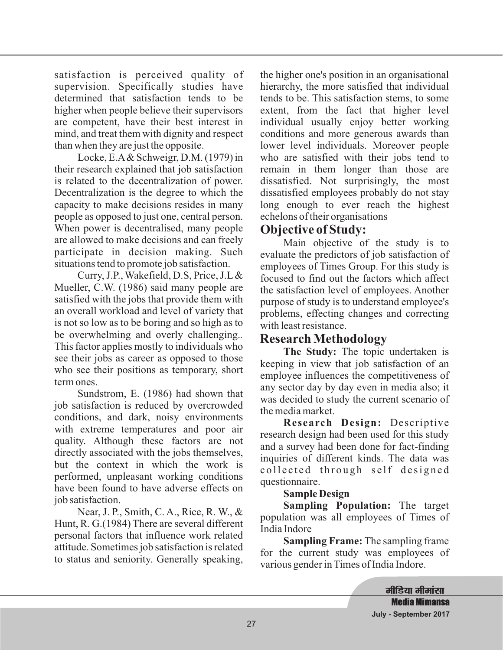satisfaction is perceived quality of supervision. Specifically studies have determined that satisfaction tends to be higher when people believe their supervisors are competent, have their best interest in mind, and treat them with dignity and respect than when they are just the opposite.

Locke, E.A& Schweigr, D.M. (1979) in their research explained that job satisfaction is related to the decentralization of power. Decentralization is the degree to which the capacity to make decisions resides in many people as opposed to just one, central person. When power is decentralised, many people are allowed to make decisions and can freely participate in decision making. Such situations tend to promote job satisfaction.

Curry, J.P., Wakefield, D.S, Price, J.L & Mueller, C.W. (1986) said many people are satisfied with the jobs that provide them with an overall workload and level of variety that is not so low as to be boring and so high as to be overwhelming and overly challenging. *.* This factor applies mostly to individuals who see their jobs as career as opposed to those who see their positions as temporary, short term ones.

Sundstrom, E. (1986) had shown that job satisfaction is reduced by overcrowded conditions, and dark, noisy environments with extreme temperatures and poor air quality. Although these factors are not directly associated with the jobs themselves, but the context in which the work is performed, unpleasant working conditions have been found to have adverse effects on job satisfaction.

Near, J. P., Smith, C. A., Rice, R. W., & Hunt, R. G.(1984) There are several different personal factors that influence work related attitude. Sometimes job satisfaction is related to status and seniority. Generally speaking,

the higher one's position in an organisational hierarchy, the more satisfied that individual tends to be. This satisfaction stems, to some extent, from the fact that higher level individual usually enjoy better working conditions and more generous awards than lower level individuals. Moreover people who are satisfied with their jobs tend to remain in them longer than those are dissatisfied. Not surprisingly, the most dissatisfied employees probably do not stay long enough to ever reach the highest echelons of their organisations

### **Objective of Study:**

Main objective of the study is to evaluate the predictors of job satisfaction of employees of Times Group. For this study is focused to find out the factors which affect the satisfaction level of employees. Another purpose of study is to understand employee's problems, effecting changes and correcting with least resistance.

## **Research Methodology**

The Study: The topic undertaken is keeping in view that job satisfaction of an employee influences the competitiveness of any sector day by day even in media also; it was decided to study the current scenario of the media market.

Research Design: Descriptive research design had been used for this study and a survey had been done for fact-finding inquiries of different kinds. The data was collected through self designed questionnaire.

#### **Sample Design**

Sampling Population: The target population was all employees of Times of India Indore

**Sampling Frame:** The sampling frame for the current study was employees of various gender in Times of India Indore.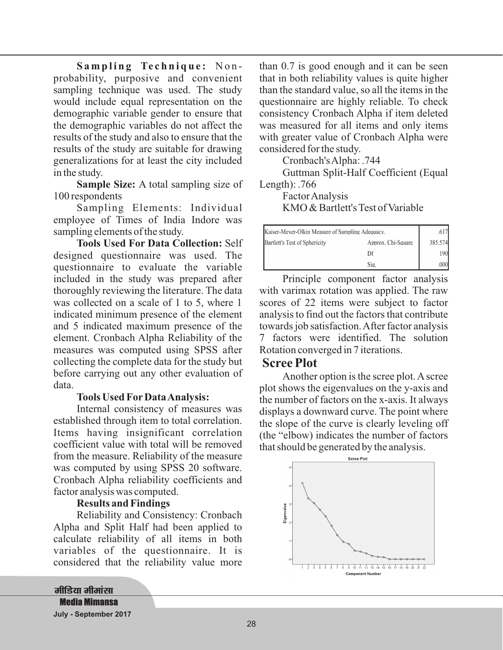Sampling Technique: Nonprobability, purposive and convenient sampling technique was used. The study would include equal representation on the demographic variable gender to ensure that the demographic variables do not affect the results of the study and also to ensure that the results of the study are suitable for drawing generalizations for at least the city included in the study.

**Sample Size:** A total sampling size of 100 respondents

Sampling Elements: Individual employee of Times of India Indore was sampling elements of the study.

**Tools Used For Data Collection:** Self designed questionnaire was used. The questionnaire to evaluate the variable included in the study was prepared after thoroughly reviewing the literature. The data was collected on a scale of 1 to 5, where 1 indicated minimum presence of the element and 5 indicated maximum presence of the element. Cronbach Alpha Reliability of the measures was computed using SPSS after collecting the complete data for the study but before carrying out any other evaluation of data.

#### **Tools Used For DataAnalysis:**

Internal consistency of measures was established through item to total correlation. Items having insignificant correlation coefficient value with total will be removed from the measure. Reliability of the measure was computed by using SPSS 20 software. Cronbach Alpha reliability coefficients and factor analysis was computed.

#### **Results and Findings**

Reliability and Consistency: Cronbach Alpha and Split Half had been applied to calculate reliability of all items in both variables of the questionnaire. It is considered that the reliability value more

<u>मीडिया मीमांसा</u> **Media Mimansa** 

**July - September 2017**

than 0.7 is good enough and it can be seen that in both reliability values is quite higher than the standard value, so all the items in the questionnaire are highly reliable. To check consistency Cronbach Alpha if item deleted was measured for all items and only items with greater value of Cronbach Alpha were considered for the study.

Cronbach'sAlpha: .744

Guttman Split-Half Coefficient (Equal Length): .766

FactorAnalysis KMO & Bartlett's Test of Variable

| Kaiser-Meyer-Olkin Measure of Sampling Adequacy. |                    |  |  |  |
|--------------------------------------------------|--------------------|--|--|--|
| Bartlett's Test of Sphericity                    | Approx. Chi-Square |  |  |  |
|                                                  |                    |  |  |  |
|                                                  | Sig.               |  |  |  |

Principle component factor analysis with varimax rotation was applied. The raw scores of 22 items were subject to factor analysis to find out the factors that contribute towards job satisfaction.After factor analysis 7 factors were identified. The solution Rotation converged in 7 iterations.

#### **Scree Plot**

Another option is the scree plot.Ascree plot shows the eigenvalues on the y-axis and the number of factors on the x-axis. It always displays a downward curve. The point where the slope of the curve is clearly leveling off (the "elbow) indicates the number of factors that should be generated by the analysis.

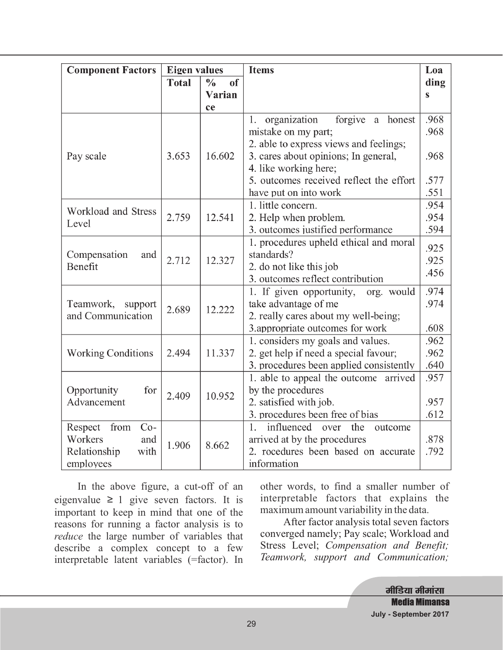| <b>Component Factors</b>  | <b>Eigen values</b> |                                | <b>Items</b>                                    |              |  |  |
|---------------------------|---------------------|--------------------------------|-------------------------------------------------|--------------|--|--|
|                           | <b>Total</b>        | $\frac{0}{0}$<br><sub>of</sub> |                                                 | ding         |  |  |
|                           |                     | Varian                         |                                                 | S            |  |  |
|                           |                     | ce                             |                                                 |              |  |  |
|                           |                     | 16.602                         | forgive<br>organization<br>a honest<br>1.       | .968         |  |  |
|                           | 3.653               |                                | mistake on my part;                             | .968         |  |  |
|                           |                     |                                | 2. able to express views and feelings;          |              |  |  |
| Pay scale                 |                     |                                | 3. cares about opinions; In general,            | .968         |  |  |
|                           |                     |                                | 4. like working here;                           |              |  |  |
|                           |                     |                                | 5. outcomes received reflect the effort         | .577         |  |  |
|                           |                     |                                | have put on into work                           | .551         |  |  |
| Workload and Stress       | 2.759               | 12.541                         | 1. little concern.                              | .954         |  |  |
| Level                     |                     |                                | 2. Help when problem.                           | .954         |  |  |
|                           |                     |                                | 3. outcomes justified performance               | .594         |  |  |
| Compensation<br>and       | 2.712               | 12.327                         | 1. procedures upheld ethical and moral          | .925         |  |  |
|                           |                     |                                | standards?                                      | .925         |  |  |
| Benefit                   |                     |                                | 2. do not like this job                         | .456         |  |  |
|                           |                     |                                | 3. outcomes reflect contribution                |              |  |  |
|                           | 2.689               | 12.222                         | 1. If given opportunity,<br>org. would          | .974         |  |  |
| Teamwork,<br>support      |                     |                                | take advantage of me                            | .974         |  |  |
| and Communication         |                     |                                | 2. really cares about my well-being;            |              |  |  |
|                           |                     |                                | 3. appropriate outcomes for work                | .608         |  |  |
|                           | 2.494               | 11.337                         | 1. considers my goals and values.               | .962<br>.962 |  |  |
| <b>Working Conditions</b> |                     |                                | 2. get help if need a special favour;           |              |  |  |
|                           |                     |                                | 3. procedures been applied consistently         | .640         |  |  |
|                           |                     |                                | 1. able to appeal the outcome arrived           | .957         |  |  |
| Opportunity<br>for        | 2.409               | 10.952                         | by the procedures                               |              |  |  |
| Advancement               |                     |                                | 2. satisfied with job.                          | .957         |  |  |
|                           |                     |                                | 3. procedures been free of bias                 | .612         |  |  |
| $Co-$<br>from<br>Respect  |                     |                                | $1_{-}$<br>influenced<br>the<br>outcome<br>over |              |  |  |
| Workers<br>and            | 1.906               | 8.662                          | arrived at by the procedures                    | .878         |  |  |
| with<br>Relationship      |                     |                                | 2. rocedures been based on accurate             | .792         |  |  |
| employees                 |                     |                                | information                                     |              |  |  |

In the above figure, a cut-off of an eigenvalue  $\geq 1$  give seven factors. It is important to keep in mind that one of the reasons for running a factor analysis is to reduce the large number of variables that describe a complex concept to a few interpretable latent variables (=factor). In other words, to find a smaller number of interpretable factors that explains the maximum amount variability in the data.

After factor analysis total seven factors converged namely; Pay scale; Workload and Stress Level; *Compensation and Benefit; Teamwork, support and Communication;*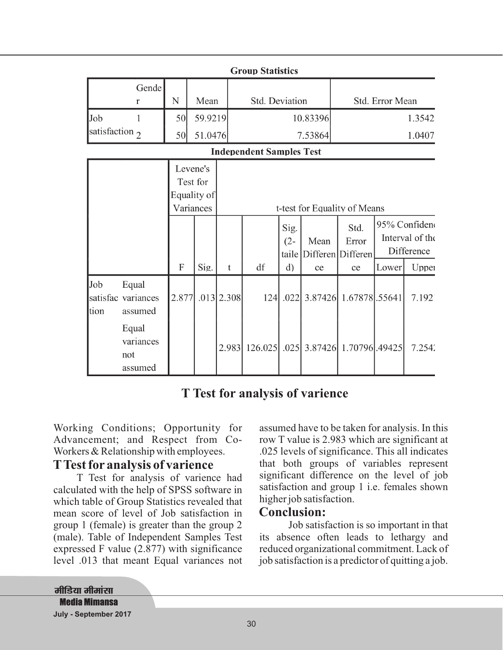| <b>Group Statistics</b>  |                                        |                                                  |                    |                     |                                 |                      |                  |                                                      |       |                                                         |
|--------------------------|----------------------------------------|--------------------------------------------------|--------------------|---------------------|---------------------------------|----------------------|------------------|------------------------------------------------------|-------|---------------------------------------------------------|
|                          | Gende<br>$\mathbf r$                   | N                                                | Mean               |                     | <b>Std. Deviation</b>           |                      |                  | Std. Error Mean                                      |       |                                                         |
| Job<br>satisfaction $_2$ |                                        | 50<br>50                                         | 59.9219<br>51.0476 | 10.83396<br>7.53864 |                                 |                      | 1.3542<br>1.0407 |                                                      |       |                                                         |
|                          |                                        |                                                  |                    |                     | <b>Independent Samples Test</b> |                      |                  |                                                      |       |                                                         |
|                          |                                        | Levene's<br>Test for<br>Equality of<br>Variances |                    |                     |                                 |                      |                  | t-test for Equality of Means                         |       |                                                         |
|                          |                                        | F                                                | Sig.               | $\mathbf t$         | df                              | Sig.<br>$(2 -$<br>d) | Mean<br>ce       | Std.<br>Error<br>taile   Differen   Differen  <br>ce | Lower | 95% Confideno<br>Interval of the<br>Difference<br>Upper |
| Job<br>tion              | Equal<br>satisfac variances<br>assumed | 2.877                                            |                    | $.013$   2.308      |                                 |                      |                  | 124 .022 3.87426 1.67878 .55641                      |       | 7.192                                                   |
|                          | Equal<br>variances<br>not<br>assumed   |                                                  |                    | 2.983               |                                 |                      |                  | 126.025 .025 3.87426 1.70796 .49425                  |       | 7.254'                                                  |

# **T Test for analysis of varience**

Working Conditions; Opportunity for Advancement; and Respect from Co-Workers & Relationship with employees.

#### **TTest for analysis of varience**

T Test for analysis of varience had calculated with the help of SPSS software in which table of Group Statistics revealed that mean score of level of Job satisfaction in group 1 (female) is greater than the group 2 (male). Table of Independent Samples Test expressed F value (2.877) with significance level .013 that meant Equal variances not assumed have to be taken for analysis. In this row T value is 2.983 which are significant at .025 levels of significance. This all indicates that both groups of variables represent significant difference on the level of job satisfaction and group 1 i.e. females shown higher job satisfaction.

#### **Conclusion:**

Job satisfaction is so important in that its absence often leads to lethargy and reduced organizational commitment. Lack of job satisfaction is a predictor of quitting a job.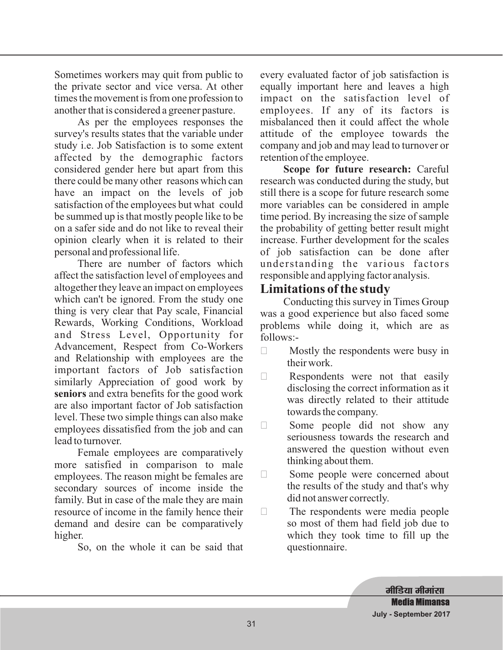Sometimes workers may quit from public to the private sector and vice versa. At other times the movement is from one profession to another that is considered a greener pasture.

As per the employees responses the survey's results states that the variable under study i.e. Job Satisfaction is to some extent affected by the demographic factors considered gender here but apart from this there could be many other reasons which can have an impact on the levels of job satisfaction of the employees but what could be summed up is that mostly people like to be on a safer side and do not like to reveal their opinion clearly when it is related to their personal and professional life.

There are number of factors which affect the satisfaction level of employees and altogether they leave an impact on employees which can't be ignored. From the study one thing is very clear that Pay scale, Financial Rewards, Working Conditions, Workload and Stress Level, Opportunity for Advancement, Respect from Co-Workers and Relationship with employees are the important factors of Job satisfaction similarly Appreciation of good work by seniors and extra benefits for the good work are also important factor of Job satisfaction level. These two simple things can also make employees dissatisfied from the job and can lead to turnover.

Female employees are comparatively more satisfied in comparison to male employees. The reason might be females are secondary sources of income inside the family. But in case of the male they are main resource of income in the family hence their demand and desire can be comparatively higher.

So, on the whole it can be said that

every evaluated factor of job satisfaction is equally important here and leaves a high impact on the satisfaction level of employees. If any of its factors is misbalanced then it could affect the whole attitude of the employee towards the company and job and may lead to turnover or retention of the employee.

Scope for future research: Careful research was conducted during the study, but still there is a scope for future research some more variables can be considered in ample time period. By increasing the size of sample the probability of getting better result might increase. Further development for the scales of job satisfaction can be done after understanding the various factors responsible and applying factor analysis.

## **Limitations of the study**

Conducting this survey in Times Group was a good experience but also faced some problems while doing it, which are as follows:-

- $\Box$  Mostly the respondents were busy in their work.
- $\Box$  Respondents were not that easily disclosing the correct information as it was directly related to their attitude towards the company.
- $\Box$  Some people did not show any seriousness towards the research and answered the question without even thinking about them.
- $\Box$  Some people were concerned about the results of the study and that's why did not answer correctly.
- $\Box$  The respondents were media people so most of them had field job due to which they took time to fill up the questionnaire.